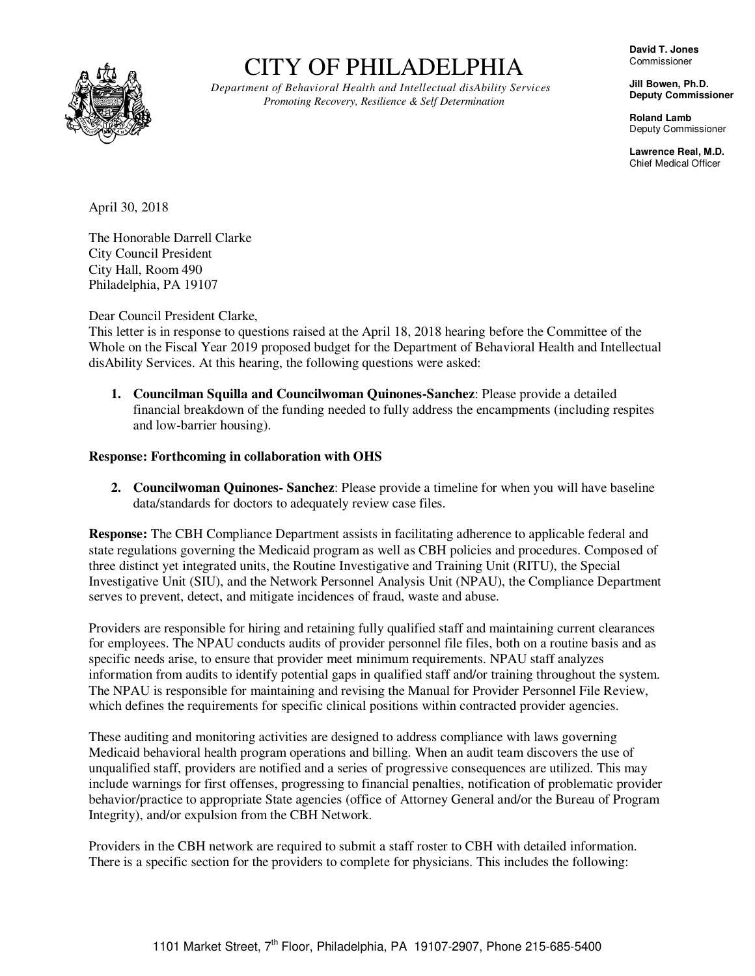

# CITY OF PHILADELPHIA

*Department of Behavioral Health and Intellectual disAbility Services Promoting Recovery, Resilience & Self Determination*

**David T. Jones**  Commissioner

**Jill Bowen, Ph.D. Deputy Commissioner** 

**Roland Lamb**  Deputy Commissioner

**Lawrence Real, M.D.**  Chief Medical Officer

April 30, 2018

The Honorable Darrell Clarke City Council President City Hall, Room 490 Philadelphia, PA 19107

Dear Council President Clarke,

This letter is in response to questions raised at the April 18, 2018 hearing before the Committee of the Whole on the Fiscal Year 2019 proposed budget for the Department of Behavioral Health and Intellectual disAbility Services. At this hearing, the following questions were asked:

**1. Councilman Squilla and Councilwoman Quinones-Sanchez**: Please provide a detailed financial breakdown of the funding needed to fully address the encampments (including respites and low-barrier housing).

## **Response: Forthcoming in collaboration with OHS**

**2. Councilwoman Quinones- Sanchez**: Please provide a timeline for when you will have baseline data/standards for doctors to adequately review case files.

**Response:** The CBH Compliance Department assists in facilitating adherence to applicable federal and state regulations governing the Medicaid program as well as CBH policies and procedures. Composed of three distinct yet integrated units, the Routine Investigative and Training Unit (RITU), the Special Investigative Unit (SIU), and the Network Personnel Analysis Unit (NPAU), the Compliance Department serves to prevent, detect, and mitigate incidences of fraud, waste and abuse.

Providers are responsible for hiring and retaining fully qualified staff and maintaining current clearances for employees. The NPAU conducts audits of provider personnel file files, both on a routine basis and as specific needs arise, to ensure that provider meet minimum requirements. NPAU staff analyzes information from audits to identify potential gaps in qualified staff and/or training throughout the system. The NPAU is responsible for maintaining and revising the Manual for Provider Personnel File Review, which defines the requirements for specific clinical positions within contracted provider agencies.

These auditing and monitoring activities are designed to address compliance with laws governing Medicaid behavioral health program operations and billing. When an audit team discovers the use of unqualified staff, providers are notified and a series of progressive consequences are utilized. This may include warnings for first offenses, progressing to financial penalties, notification of problematic provider behavior/practice to appropriate State agencies (office of Attorney General and/or the Bureau of Program Integrity), and/or expulsion from the CBH Network.

Providers in the CBH network are required to submit a staff roster to CBH with detailed information. There is a specific section for the providers to complete for physicians. This includes the following: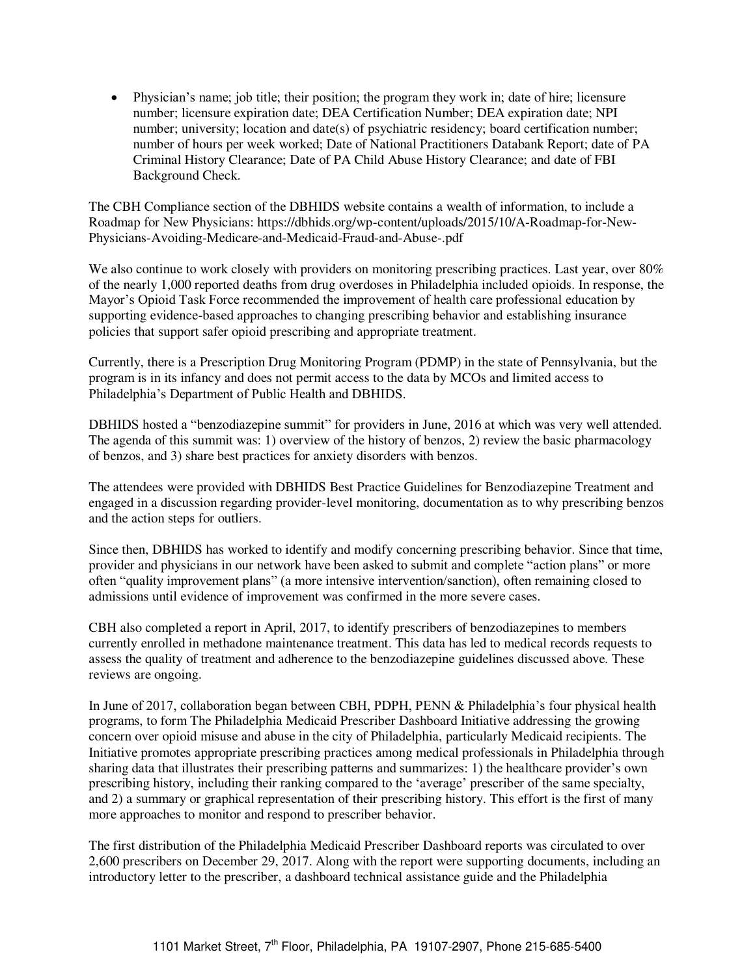Physician"s name; job title; their position; the program they work in; date of hire; licensure number; licensure expiration date; DEA Certification Number; DEA expiration date; NPI number; university; location and date(s) of psychiatric residency; board certification number; number of hours per week worked; Date of National Practitioners Databank Report; date of PA Criminal History Clearance; Date of PA Child Abuse History Clearance; and date of FBI Background Check.

The CBH Compliance section of the DBHIDS website contains a wealth of information, to include a Roadmap for New Physicians: https://dbhids.org/wp-content/uploads/2015/10/A-Roadmap-for-New-Physicians-Avoiding-Medicare-and-Medicaid-Fraud-and-Abuse-.pdf

We also continue to work closely with providers on monitoring prescribing practices. Last year, over 80% of the nearly 1,000 reported deaths from drug overdoses in Philadelphia included opioids. In response, the Mayor"s Opioid Task Force recommended the improvement of health care professional education by supporting evidence-based approaches to changing prescribing behavior and establishing insurance policies that support safer opioid prescribing and appropriate treatment.

Currently, there is a Prescription Drug Monitoring Program (PDMP) in the state of Pennsylvania, but the program is in its infancy and does not permit access to the data by MCOs and limited access to Philadelphia"s Department of Public Health and DBHIDS.

DBHIDS hosted a "benzodiazepine summit" for providers in June, 2016 at which was very well attended. The agenda of this summit was: 1) overview of the history of benzos, 2) review the basic pharmacology of benzos, and 3) share best practices for anxiety disorders with benzos.

The attendees were provided with DBHIDS Best Practice Guidelines for Benzodiazepine Treatment and engaged in a discussion regarding provider-level monitoring, documentation as to why prescribing benzos and the action steps for outliers.

Since then, DBHIDS has worked to identify and modify concerning prescribing behavior. Since that time, provider and physicians in our network have been asked to submit and complete "action plans" or more often "quality improvement plans" (a more intensive intervention/sanction), often remaining closed to admissions until evidence of improvement was confirmed in the more severe cases.

CBH also completed a report in April, 2017, to identify prescribers of benzodiazepines to members currently enrolled in methadone maintenance treatment. This data has led to medical records requests to assess the quality of treatment and adherence to the benzodiazepine guidelines discussed above. These reviews are ongoing.

In June of 2017, collaboration began between CBH, PDPH, PENN & Philadelphia's four physical health programs, to form The Philadelphia Medicaid Prescriber Dashboard Initiative addressing the growing concern over opioid misuse and abuse in the city of Philadelphia, particularly Medicaid recipients. The Initiative promotes appropriate prescribing practices among medical professionals in Philadelphia through sharing data that illustrates their prescribing patterns and summarizes: 1) the healthcare provider"s own prescribing history, including their ranking compared to the "average" prescriber of the same specialty, and 2) a summary or graphical representation of their prescribing history. This effort is the first of many more approaches to monitor and respond to prescriber behavior.

The first distribution of the Philadelphia Medicaid Prescriber Dashboard reports was circulated to over 2,600 prescribers on December 29, 2017. Along with the report were supporting documents, including an introductory letter to the prescriber, a dashboard technical assistance guide and the Philadelphia